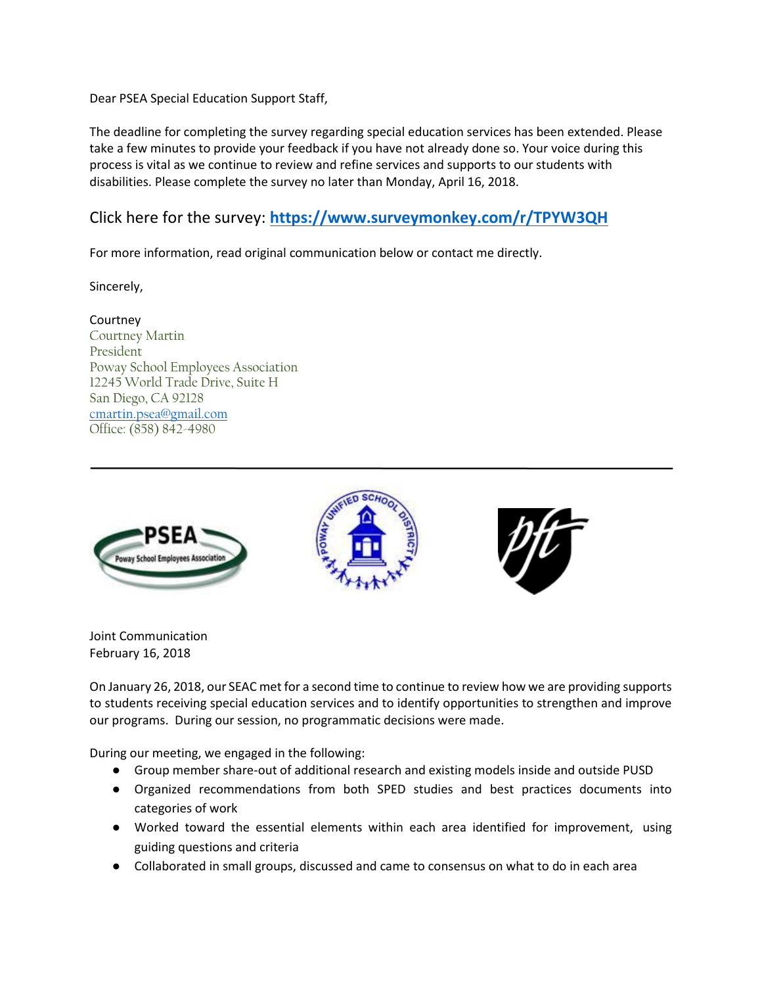Dear PSEA Special Education Support Staff,

The deadline for completing the survey regarding special education services has been extended. Please take a few minutes to provide your feedback if you have not already done so. Your voice during this process is vital as we continue to review and refine services and supports to our students with disabilities. Please complete the survey no later than Monday, April 16, 2018.

## Click here for the survey: **<https://www.surveymonkey.com/r/TPYW3QH>**

For more information, read original communication below or contact me directly.

Sincerely,

**Courtney** Courtney Martin President Poway School Employees Association 12245 World Trade Drive, Suite H San Diego, CA 92128 [cmartin.psea@gmail.com](mailto:cmartin.psea@gmail.com) Office: (858) 842-4980



Joint Communication February 16, 2018

On January 26, 2018, our SEAC met for a second time to continue to review how we are providing supports to students receiving special education services and to identify opportunities to strengthen and improve our programs. During our session, no programmatic decisions were made.

During our meeting, we engaged in the following:

- Group member share-out of additional research and existing models inside and outside PUSD
- Organized recommendations from both SPED studies and best practices documents into categories of work
- Worked toward the essential elements within each area identified for improvement, using guiding questions and criteria
- Collaborated in small groups, discussed and came to consensus on what to do in each area